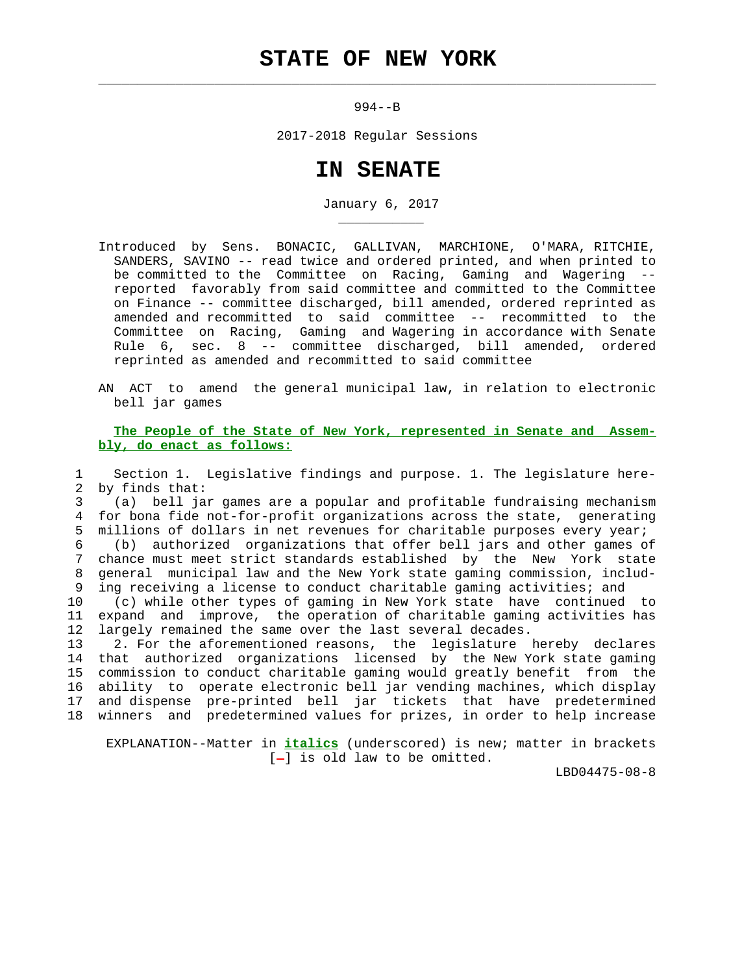## **STATE OF NEW YORK**

 $\mathcal{L}_\text{max} = \frac{1}{2} \sum_{i=1}^{n} \frac{1}{2} \sum_{i=1}^{n} \frac{1}{2} \sum_{i=1}^{n} \frac{1}{2} \sum_{i=1}^{n} \frac{1}{2} \sum_{i=1}^{n} \frac{1}{2} \sum_{i=1}^{n} \frac{1}{2} \sum_{i=1}^{n} \frac{1}{2} \sum_{i=1}^{n} \frac{1}{2} \sum_{i=1}^{n} \frac{1}{2} \sum_{i=1}^{n} \frac{1}{2} \sum_{i=1}^{n} \frac{1}{2} \sum_{i=1}^{n} \frac{1$ 

\_\_\_\_\_\_\_\_\_\_\_

994--B

2017-2018 Regular Sessions

## **IN SENATE**

January 6, 2017

 Introduced by Sens. BONACIC, GALLIVAN, MARCHIONE, O'MARA, RITCHIE, SANDERS, SAVINO -- read twice and ordered printed, and when printed to be committed to the Committee on Racing, Gaming and Wagering - reported favorably from said committee and committed to the Committee on Finance -- committee discharged, bill amended, ordered reprinted as amended and recommitted to said committee -- recommitted to the Committee on Racing, Gaming and Wagering in accordance with Senate Rule 6, sec. 8 -- committee discharged, bill amended, ordered reprinted as amended and recommitted to said committee

 AN ACT to amend the general municipal law, in relation to electronic bell jar games

 **The People of the State of New York, represented in Senate and Assem bly, do enact as follows:**

 1 Section 1. Legislative findings and purpose. 1. The legislature here- 2 by finds that:

 3 (a) bell jar games are a popular and profitable fundraising mechanism 4 for bona fide not-for-profit organizations across the state, generating 5 millions of dollars in net revenues for charitable purposes every year; 6 (b) authorized organizations that offer bell jars and other games of 7 chance must meet strict standards established by the New York state 8 general municipal law and the New York state gaming commission, includ- 9 ing receiving a license to conduct charitable gaming activities; and

 10 (c) while other types of gaming in New York state have continued to 11 expand and improve, the operation of charitable gaming activities has 12 largely remained the same over the last several decades.

 13 2. For the aforementioned reasons, the legislature hereby declares 14 that authorized organizations licensed by the New York state gaming 15 commission to conduct charitable gaming would greatly benefit from the 16 ability to operate electronic bell jar vending machines, which display 17 and dispense pre-printed bell jar tickets that have predetermined 18 winners and predetermined values for prizes, in order to help increase

 EXPLANATION--Matter in **italics** (underscored) is new; matter in brackets  $[-]$  is old law to be omitted.

LBD04475-08-8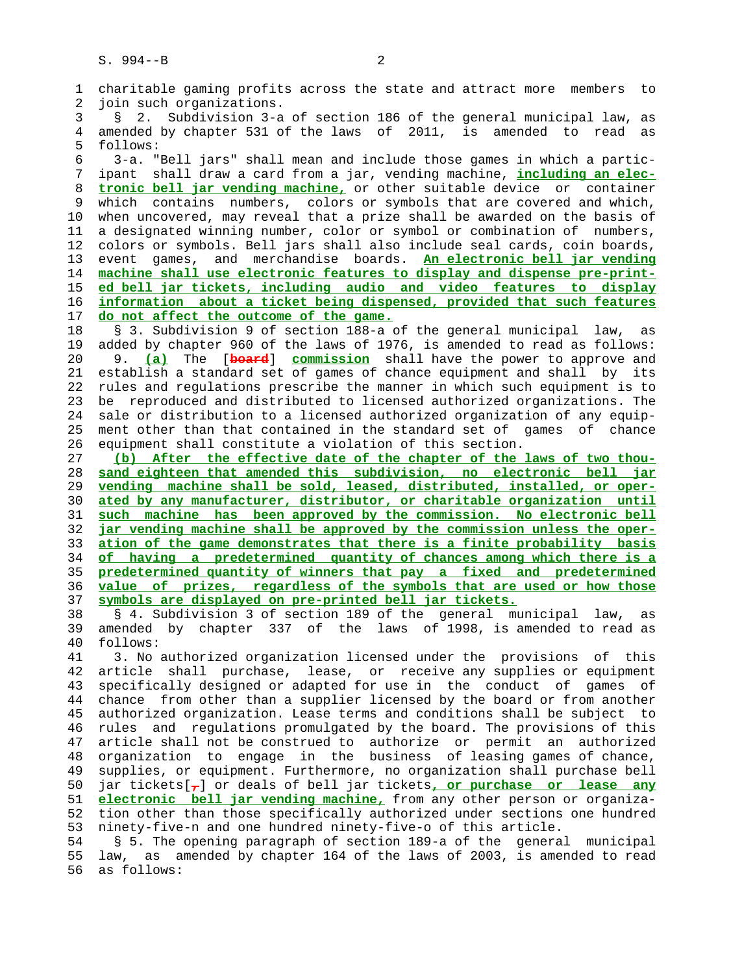1 charitable gaming profits across the state and attract more members to 2 join such organizations. 3 § 2. Subdivision 3-a of section 186 of the general municipal law, as 4 amended by chapter 531 of the laws of 2011, is amended to read as 5 follows: 6 3-a. "Bell jars" shall mean and include those games in which a partic- 7 ipant shall draw a card from a jar, vending machine, **including an elec-** 8 **tronic bell jar vending machine,** or other suitable device or container which contains numbers, colors or symbols that are covered and which, 10 when uncovered, may reveal that a prize shall be awarded on the basis of 11 a designated winning number, color or symbol or combination of numbers, 12 colors or symbols. Bell jars shall also include seal cards, coin boards, 13 event games, and merchandise boards. **An electronic bell jar vending** 14 **machine shall use electronic features to display and dispense pre-print-** 15 **ed bell jar tickets, including audio and video features to display** 16 **information about a ticket being dispensed, provided that such features** 17 **do not affect the outcome of the game.** 18 § 3. Subdivision 9 of section 188-a of the general municipal law, as 19 added by chapter 960 of the laws of 1976, is amended to read as follows: 20 9. **(a)** The [**board**] **commission** shall have the power to approve and 21 establish a standard set of games of chance equipment and shall by its 22 rules and regulations prescribe the manner in which such equipment is to 23 be reproduced and distributed to licensed authorized organizations. The 24 sale or distribution to a licensed authorized organization of any equip- 25 ment other than that contained in the standard set of games of chance 26 equipment shall constitute a violation of this section. 27 **(b) After the effective date of the chapter of the laws of two thou-** 28 **sand eighteen that amended this subdivision, no electronic bell jar** 29 **vending machine shall be sold, leased, distributed, installed, or oper-** 30 **ated by any manufacturer, distributor, or charitable organization until** 31 **such machine has been approved by the commission. No electronic bell** 32 **jar vending machine shall be approved by the commission unless the oper-** 33 **ation of the game demonstrates that there is a finite probability basis** 34 **of having a predetermined quantity of chances among which there is a** 35 **predetermined quantity of winners that pay a fixed and predetermined** 36 **value of prizes, regardless of the symbols that are used or how those** 37 **symbols are displayed on pre-printed bell jar tickets.** 38 § 4. Subdivision 3 of section 189 of the general municipal law, as 39 amended by chapter 337 of the laws of 1998, is amended to read as 40 follows: 41 3. No authorized organization licensed under the provisions of this 42 article shall purchase, lease, or receive any supplies or equipment 43 specifically designed or adapted for use in the conduct of games of 44 chance from other than a supplier licensed by the board or from another 45 authorized organization. Lease terms and conditions shall be subject to 46 rules and regulations promulgated by the board. The provisions of this 47 article shall not be construed to authorize or permit an authorized 48 organization to engage in the business of leasing games of chance, 49 supplies, or equipment. Furthermore, no organization shall purchase bell 50 jar tickets[**,**] or deals of bell jar tickets**, or purchase or lease any** 51 **electronic bell jar vending machine,** from any other person or organiza- 52 tion other than those specifically authorized under sections one hundred 53 ninety-five-n and one hundred ninety-five-o of this article. 54 § 5. The opening paragraph of section 189-a of the general municipal 55 law, as amended by chapter 164 of the laws of 2003, is amended to read 56 as follows: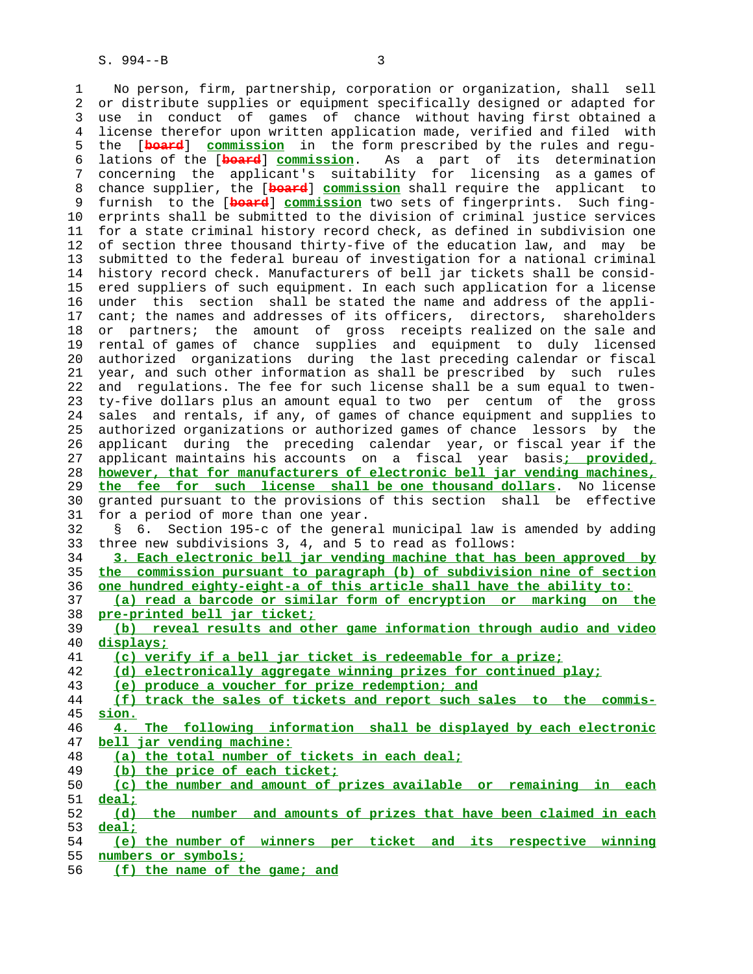1 No person, firm, partnership, corporation or organization, shall sell 2 or distribute supplies or equipment specifically designed or adapted for 3 use in conduct of games of chance without having first obtained a 4 license therefor upon written application made, verified and filed with 5 the [**board**] **commission** in the form prescribed by the rules and regu- 6 lations of the [**board**] **commission**. As a part of its determination 7 concerning the applicant's suitability for licensing as a games of 8 chance supplier, the [**board**] **commission** shall require the applicant to 9 furnish to the [**board**] **commission** two sets of fingerprints. Such fing- 10 erprints shall be submitted to the division of criminal justice services 11 for a state criminal history record check, as defined in subdivision one 12 of section three thousand thirty-five of the education law, and may be 13 submitted to the federal bureau of investigation for a national criminal 14 history record check. Manufacturers of bell jar tickets shall be consid- 15 ered suppliers of such equipment. In each such application for a license 16 under this section shall be stated the name and address of the appli- 17 cant; the names and addresses of its officers, directors, shareholders 18 or partners; the amount of gross receipts realized on the sale and 19 rental of games of chance supplies and equipment to duly licensed 20 authorized organizations during the last preceding calendar or fiscal 21 year, and such other information as shall be prescribed by such rules 22 and regulations. The fee for such license shall be a sum equal to twen- 23 ty-five dollars plus an amount equal to two per centum of the gross 24 sales and rentals, if any, of games of chance equipment and supplies to 25 authorized organizations or authorized games of chance lessors by the 26 applicant during the preceding calendar year, or fiscal year if the 27 applicant maintains his accounts on a fiscal year basis**; provided,** 28 **however, that for manufacturers of electronic bell jar vending machines,** 29 **the fee for such license shall be one thousand dollars**. No license 30 granted pursuant to the provisions of this section shall be effective 31 for a period of more than one year. 32 § 6. Section 195-c of the general municipal law is amended by adding 33 three new subdivisions 3, 4, and 5 to read as follows: 34 **3. Each electronic bell jar vending machine that has been approved by** 35 **the commission pursuant to paragraph (b) of subdivision nine of section** 36 **one hundred eighty-eight-a of this article shall have the ability to:** 37 **(a) read a barcode or similar form of encryption or marking on the** 38 **pre-printed bell jar ticket;** 39 **(b) reveal results and other game information through audio and video** 40 **displays;** 41 **(c) verify if a bell jar ticket is redeemable for a prize;** 42 **(d) electronically aggregate winning prizes for continued play;** 43 **(e) produce a voucher for prize redemption; and** 44 **(f) track the sales of tickets and report such sales to the commis-** 45 **sion.** 46 **4. The following information shall be displayed by each electronic** 47 **bell jar vending machine:** 48 **(a) the total number of tickets in each deal;** 49 **(b) the price of each ticket;** 50 **(c) the number and amount of prizes available or remaining in each** 51 **deal;** 52 **(d) the number and amounts of prizes that have been claimed in each** 53 **deal;** 54 **(e) the number of winners per ticket and its respective winning** 55 **numbers or symbols;**

56 **(f) the name of the game; and**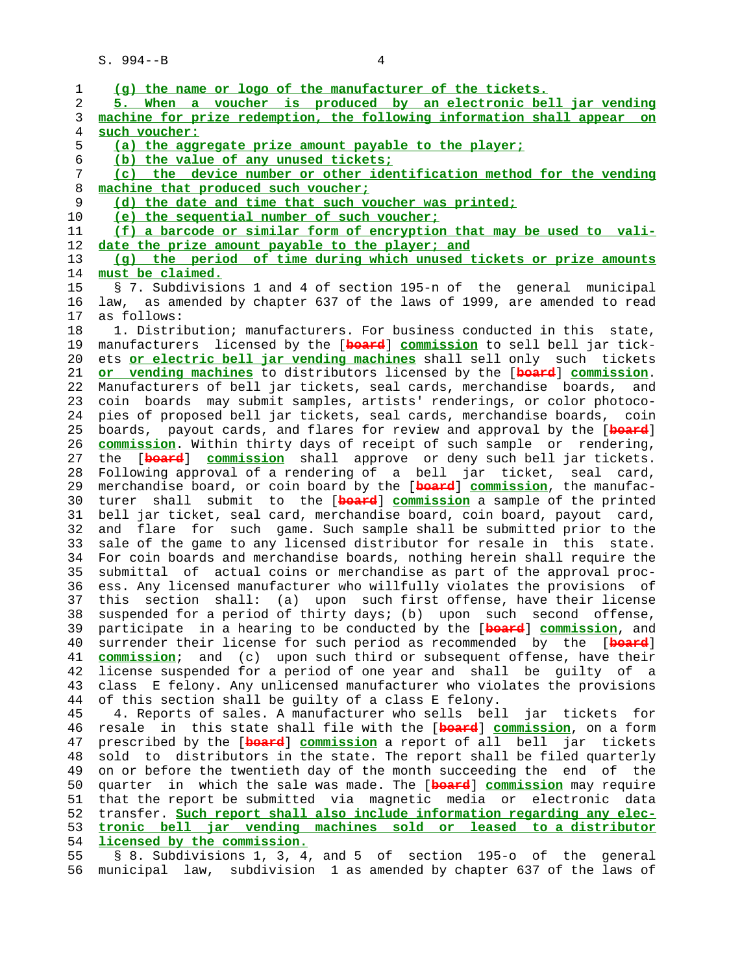S. 994--B 4

| 1  | (g) the name or logo of the manufacturer of the tickets.                   |
|----|----------------------------------------------------------------------------|
| 2  | 5. When a voucher is produced by an electronic bell jar vending            |
| 3  | machine for prize redemption, the following information shall appear<br>on |
| 4  | such voucher:                                                              |
| 5  | (a) the aggregate prize amount payable to the player;                      |
| 6  | (b) the value of any unused tickets;                                       |
| 7  | (c) the device number or other identification method for the vending       |
| 8  | machine that produced such voucher;                                        |
| 9  | (d) the date and time that such voucher was printed;                       |
| 10 | (e) the sequential number of such voucher;                                 |
| 11 | (f) a barcode or similar form of encryption that may be used to vali-      |
| 12 | date the prize amount payable to the player; and                           |
| 13 | (g) the period of time during which unused tickets or prize amounts        |
| 14 | must be claimed.                                                           |
| 15 | § 7. Subdivisions 1 and 4 of section 195-n of the general municipal        |
| 16 | law, as amended by chapter 637 of the laws of 1999, are amended to read    |
| 17 | as follows:                                                                |
| 18 | 1. Distribution; manufacturers. For business conducted in this state,      |
| 19 | manufacturers licensed by the [beard] commission to sell bell jar tick-    |
| 20 | ets or electric bell jar vending machines shall sell only such tickets     |
| 21 | or vending machines to distributors licensed by the [beard] commission.    |
| 22 | Manufacturers of bell jar tickets, seal cards, merchandise boards, and     |
| 23 | coin boards may submit samples, artists' renderings, or color photoco-     |
| 24 | pies of proposed bell jar tickets, seal cards, merchandise boards, coin    |
| 25 | boards, payout cards, and flares for review and approval by the [board]    |
| 26 | commission. Within thirty days of receipt of such sample or rendering,     |
| 27 | the [board] commission shall approve or deny such bell jar tickets.        |
| 28 | Following approval of a rendering of a bell jar ticket, seal card,         |
| 29 | merchandise board, or coin board by the [board] commission, the manufac-   |
| 30 | turer shall submit to the [board] commission a sample of the printed       |
| 31 | bell jar ticket, seal card, merchandise board, coin board, payout card,    |
| 32 | for such game. Such sample shall be submitted prior to the<br>flare<br>and |
| 33 | sale of the game to any licensed distributor for resale in this<br>state.  |
| 34 | For coin boards and merchandise boards, nothing herein shall require the   |
| 35 | submittal of actual coins or merchandise as part of the approval proc-     |
| 36 | ess. Any licensed manufacturer who willfully violates the provisions of    |
| 37 | this                                                                       |
| 38 | section shall: (a) upon such first offense, have their license             |
| 39 | suspended for a period of thirty days; (b) upon such second offense,       |
|    | participate in a hearing to be conducted by the [beard] commission, and    |
| 40 | surrender their license for such period as recommended by the [beard]      |
| 41 | commission; and (c) upon such third or subsequent offense, have their      |
| 42 | license suspended for a period of one year and shall be guilty of a        |
| 43 | class E felony. Any unlicensed manufacturer who violates the provisions    |
| 44 | of this section shall be guilty of a class E felony.                       |
| 45 | 4. Reports of sales. A manufacturer who sells bell<br>jar tickets<br>for   |
| 46 | in this state shall file with the [beard] commission, on a form<br>resale  |
| 47 | prescribed by the [beard] commission a report of all bell<br>jar tickets   |
| 48 | sold to distributors in the state. The report shall be filed quarterly     |
| 49 | on or before the twentieth day of the month succeeding the end of the      |
| 50 | in which the sale was made. The [board] commission may require<br>quarter  |
| 51 | that the report be submitted via magnetic media or<br>electronic data      |
| 52 | transfer. Such report shall also include information regarding any elec-   |
| 53 | tronic bell jar vending machines sold or leased to a distributor           |
| 54 | licensed by the commission.                                                |
| 55 | § 8. Subdivisions 1, 3, 4, and 5 of section 195-o of the general           |

56 municipal law, subdivision 1 as amended by chapter 637 of the laws of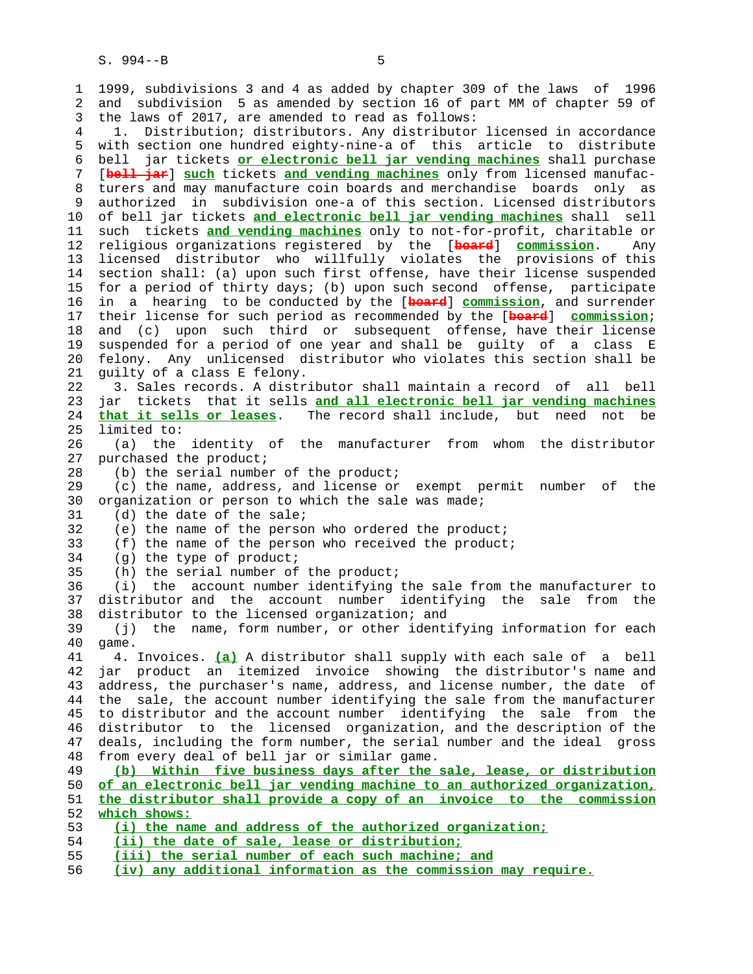1 1999, subdivisions 3 and 4 as added by chapter 309 of the laws of 1996 2 and subdivision 5 as amended by section 16 of part MM of chapter 59 of 3 the laws of 2017, are amended to read as follows: 4 1. Distribution; distributors. Any distributor licensed in accordance 5 with section one hundred eighty-nine-a of this article to distribute 6 bell jar tickets **or electronic bell jar vending machines** shall purchase 7 [**bell jar**] **such** tickets **and vending machines** only from licensed manufac- 8 turers and may manufacture coin boards and merchandise boards only as<br>9 authorized in subdivision one-a of this section. Licensed distributors 9 authorized in subdivision one-a of this section. Licensed distributors 10 of bell jar tickets **and electronic bell jar vending machines** shall sell 11 such tickets **and vending machines** only to not-for-profit, charitable or 12 religious organizations registered by the [**board**] **commission**. Any 13 licensed distributor who willfully violates the provisions of this 14 section shall: (a) upon such first offense, have their license suspended 15 for a period of thirty days; (b) upon such second offense, participate 16 in a hearing to be conducted by the [**board**] **commission**, and surrender 17 their license for such period as recommended by the [**board**] **commission**; 18 and (c) upon such third or subsequent offense, have their license 19 suspended for a period of one year and shall be guilty of a class E 20 felony. Any unlicensed distributor who violates this section shall be 21 guilty of a class E felony. 22 3. Sales records. A distributor shall maintain a record of all bell 23 jar tickets that it sells **and all electronic bell jar vending machines** 24 **that it sells or leases**. The record shall include, but need not be 25 limited to: 26 (a) the identity of the manufacturer from whom the distributor 27 purchased the product; 28 (b) the serial number of the product; 29 (c) the name, address, and license or exempt permit number of the 30 organization or person to which the sale was made; 31 (d) the date of the sale; 32 (e) the name of the person who ordered the product; 33 (f) the name of the person who received the product; 34 (g) the type of product; 35 (h) the serial number of the product; 36 (i) the account number identifying the sale from the manufacturer to 37 distributor and the account number identifying the sale from the 38 distributor to the licensed organization; and 39 (j) the name, form number, or other identifying information for each 40 game. 41 4. Invoices. **(a)** A distributor shall supply with each sale of a bell 42 jar product an itemized invoice showing the distributor's name and 43 address, the purchaser's name, address, and license number, the date of 44 the sale, the account number identifying the sale from the manufacturer 45 to distributor and the account number identifying the sale from the 46 distributor to the licensed organization, and the description of the 47 deals, including the form number, the serial number and the ideal gross 48 from every deal of bell jar or similar game. 49 **(b) Within five business days after the sale, lease, or distribution** 50 **of an electronic bell jar vending machine to an authorized organization,** 51 **the distributor shall provide a copy of an invoice to the commission** 52 **which shows:** 53 **(i) the name and address of the authorized organization;** 54 **(ii) the date of sale, lease or distribution;** 55 **(iii) the serial number of each such machine; and**

56 **(iv) any additional information as the commission may require.**